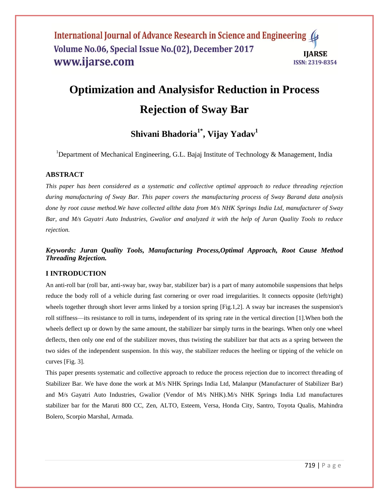# **Optimization and Analysisfor Reduction in Process Rejection of Sway Bar**

## **Shivani Bhadoria1\* , Vijay Yadav<sup>1</sup>**

<sup>1</sup>Department of Mechanical Engineering, G.L. Bajaj Institute of Technology & Management, India

#### **ABSTRACT**

*This paper has been considered as a systematic and collective optimal approach to reduce threading rejection during manufacturing of Sway Bar. This paper covers the manufacturing process of Sway Barand data analysis done by root cause method.We have collected allthe data from M/s NHK Springs India Ltd, manufacturer of Sway Bar, and M/s Gayatri Auto Industries, Gwalior and analyzed it with the help of Juran Quality Tools to reduce rejection.* 

*Keywords: Juran Quality Tools, Manufacturing Process,Optimal Approach, Root Cause Method Threading Rejection.*

#### **I INTRODUCTION**

An anti-roll bar (roll bar, anti-sway bar, sway bar, stabilizer bar) is a part of many automobile suspensions that helps reduce the body roll of a vehicle during fast cornering or over road irregularities. It connects opposite (left/right) wheels together through short lever arms linked by a torsion spring [Fig.1,2]. A sway bar increases the suspension's roll stiffness—its resistance to roll in turns, independent of its spring rate in the vertical direction [1].When both the wheels deflect up or down by the same amount, the stabilizer bar simply turns in the bearings. When only one wheel deflects, then only one end of the stabilizer moves, thus twisting the stabilizer bar that acts as a spring between the two sides of the independent suspension. In this way, the stabilizer reduces the heeling or tipping of the vehicle on curves [Fig. 3].

This paper presents systematic and collective approach to reduce the process rejection due to incorrect threading of Stabilizer Bar. We have done the work at M/s NHK Springs India Ltd, Malanpur (Manufacturer of Stabilizer Bar) and M/s Gayatri Auto Industries, Gwalior (Vendor of M/s NHK).M/s NHK Springs India Ltd manufactures stabilizer bar for the Maruti 800 CC, Zen, ALTO, Esteem, Versa, Honda City, Santro, Toyota Qualis, Mahindra Bolero, Scorpio Marshal, Armada.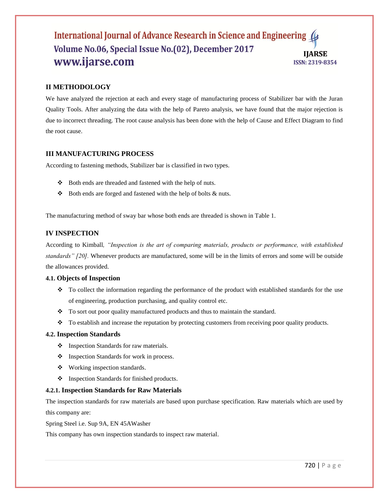#### **II METHODOLOGY**

We have analyzed the rejection at each and every stage of manufacturing process of Stabilizer bar with the Juran Quality Tools. After analyzing the data with the help of Pareto analysis, we have found that the major rejection is due to incorrect threading. The root cause analysis has been done with the help of Cause and Effect Diagram to find the root cause.

#### **III MANUFACTURING PROCESS**

According to fastening methods, Stabilizer bar is classified in two types.

- Both ends are threaded and fastened with the help of nuts.
- $\triangle$  Both ends are forged and fastened with the help of bolts  $\&$  nuts.

The manufacturing method of sway bar whose both ends are threaded is shown in Table 1.

#### **IV INSPECTION**

According to Kimball*, "Inspection is the art of comparing materials, products or performance, with established standards" [20].* Whenever products are manufactured, some will be in the limits of errors and some will be outside the allowances provided.

#### **4.1. Objects of Inspection**

- To collect the information regarding the performance of the product with established standards for the use of engineering, production purchasing, and quality control etc.
- \* To sort out poor quality manufactured products and thus to maintain the standard.
- \* To establish and increase the reputation by protecting customers from receiving poor quality products.

#### **4.2. Inspection Standards**

- $\bullet$  Inspection Standards for raw materials.
- ❖ Inspection Standards for work in process.
- Working inspection standards.
- $\triangleleft$  Inspection Standards for finished products.

#### **4.2.1. Inspection Standards for Raw Materials**

The inspection standards for raw materials are based upon purchase specification. Raw materials which are used by this company are:

Spring Steel i.e. Sup 9A, EN 45AWasher

This company has own inspection standards to inspect raw material.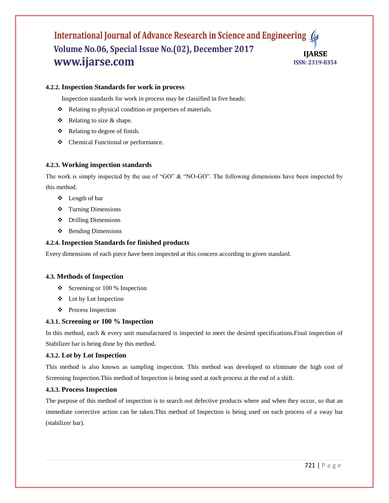#### **4.2.2. Inspection Standards for work in process**

Inspection standards for work in process may be classified in five heads:

- \* Relating to physical condition or properties of materials.
- $\triangle$  Relating to size & shape.
- Relating to degree of finish.
- Chemical Functional or performance.

#### **4.2.3. Working inspection standards**

The work is simply inspected by the use of "GO"  $\&$  "NO-GO". The following dimensions have been inspected by this method.

- Length of bar
- Turning Dimensions
- Drilling Dimensions
- $\triangleleft$  Bending Dimensions

#### **4.2.4. Inspection Standards for finished products**

Every dimensions of each piece have been inspected at this concern according to given standard.

#### **4.3. Methods of Inspection**

- $\div$  Screening or 100 % Inspection
- Lot by Lot Inspection
- ❖ Process Inspection

#### **4.3.1. Screening or 100 % Inspection**

In this method, each & every unit manufactured is inspected to meet the desired specifications.Final inspection of Stabilizer bar is being done by this method.

#### **4.3.2. Lot by Lot Inspection**

This method is also known as sampling inspection. This method was developed to eliminate the high cost of Screening Inspection.This method of Inspection is being used at each process at the end of a shift.

#### **4.3.3. Process Inspection**

The purpose of this method of inspection is to search out defective products where and when they occur, so that an immediate corrective action can be taken.This method of Inspection is being used on each process of a sway bar (stabilizer bar).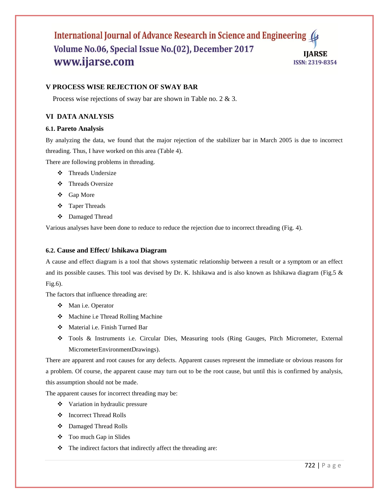#### **V PROCESS WISE REJECTION OF SWAY BAR**

Process wise rejections of sway bar are shown in Table no. 2 & 3.

#### **VI DATA ANALYSIS**

#### **6.1. Pareto Analysis**

By analyzing the data, we found that the major rejection of the stabilizer bar in March 2005 is due to incorrect threading. Thus, I have worked on this area (Table 4).

There are following problems in threading.

- Threads Undersize
- Threads Oversize
- Gap More
- Taper Threads
- Damaged Thread

Various analyses have been done to reduce to reduce the rejection due to incorrect threading (Fig. 4).

#### **6.2. Cause and Effect/ Ishikawa Diagram**

A cause and effect diagram is a tool that shows systematic relationship between a result or a symptom or an effect and its possible causes. This tool was devised by Dr. K. Ishikawa and is also known as Ishikawa diagram (Fig.5 & Fig.6).

The factors that influence threading are:

- Man i.e. Operator
- Machine i.e Thread Rolling Machine
- Material i.e. Finish Turned Bar
- Tools & Instruments i.e. Circular Dies, Measuring tools (Ring Gauges, Pitch Micrometer, External MicrometerEnvironmentDrawings).

There are apparent and root causes for any defects. Apparent causes represent the immediate or obvious reasons for a problem. Of course, the apparent cause may turn out to be the root cause, but until this is confirmed by analysis, this assumption should not be made.

The apparent causes for incorrect threading may be:

- Variation in hydraulic pressure
- Incorrect Thread Rolls
- Damaged Thread Rolls
- Too much Gap in Slides
- $\bullet$  The indirect factors that indirectly affect the threading are: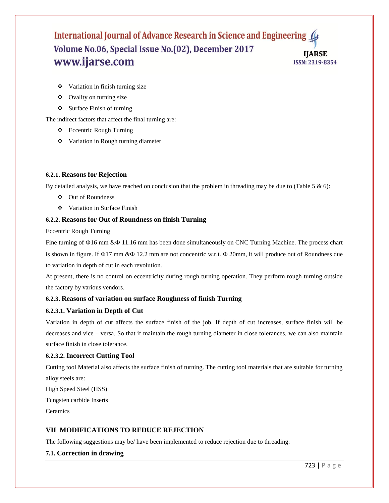- Variation in finish turning size
- Ovality on turning size
- $\triangleleft$  Surface Finish of turning

The indirect factors that affect the final turning are:

- Eccentric Rough Turning
- Variation in Rough turning diameter

#### **6.2.1. Reasons for Rejection**

By detailed analysis, we have reached on conclusion that the problem in threading may be due to (Table 5  $\&$  6):

- ❖ Out of Roundness
- Variation in Surface Finish

#### **6.2.2. Reasons for Out of Roundness on finish Turning**

Eccentric Rough Turning

Fine turning of  $\Phi$ 16 mm & $\Phi$  11.16 mm has been done simultaneously on CNC Turning Machine. The process chart is shown in figure. If  $\Phi$ 17 mm & $\Phi$  12.2 mm are not concentric w.r.t.  $\Phi$  20mm, it will produce out of Roundness due to variation in depth of cut in each revolution.

At present, there is no control on eccentricity during rough turning operation. They perform rough turning outside the factory by various vendors.

#### **6.2.3. Reasons of variation on surface Roughness of finish Turning**

#### **6.2.3.1. Variation in Depth of Cut**

Variation in depth of cut affects the surface finish of the job. If depth of cut increases, surface finish will be decreases and vice – versa. So that if maintain the rough turning diameter in close tolerances, we can also maintain surface finish in close tolerance.

#### **6.2.3.2. Incorrect Cutting Tool**

Cutting tool Material also affects the surface finish of turning. The cutting tool materials that are suitable for turning alloy steels are:

High Speed Steel (HSS)

Tungsten carbide Inserts

**Ceramics** 

#### **VII MODIFICATIONS TO REDUCE REJECTION**

The following suggestions may be/ have been implemented to reduce rejection due to threading:

#### **7.1. Correction in drawing**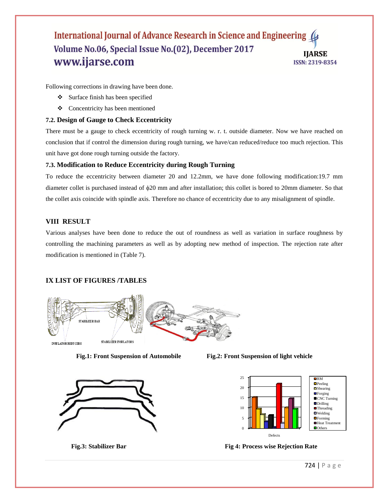Following corrections in drawing have been done.

- Surface finish has been specified
- Concentricity has been mentioned

#### **7.2. Design of Gauge to Check Eccentricity**

There must be a gauge to check eccentricity of rough turning w. r. t. outside diameter. Now we have reached on conclusion that if control the dimension during rough turning, we have/can reduced/reduce too much rejection. This unit have got done rough turning outside the factory.

#### **7.3. Modification to Reduce Eccentricity during Rough Turning**

To reduce the eccentricity between diameter 20 and 12.2mm, we have done following modification:19.7 mm diameter collet is purchased instead of  $\phi$ 20 mm and after installation; this collet is bored to 20mm diameter. So that the collet axis coincide with spindle axis. Therefore no chance of eccentricity due to any misalignment of spindle.

#### **VIII RESULT**

Various analyses have been done to reduce the out of roundness as well as variation in surface roughness by controlling the machining parameters as well as by adopting new method of inspection. The rejection rate after modification is mentioned in (Table 7).

#### **IX LIST OF FIGURES /TABLES**





**Fig.1: Front Suspension of Automobile Fig.2: Front Suspension of light vehicle**



**Fig.3: Stabilizer Bar** Fig.4: Process wise Rejection Rate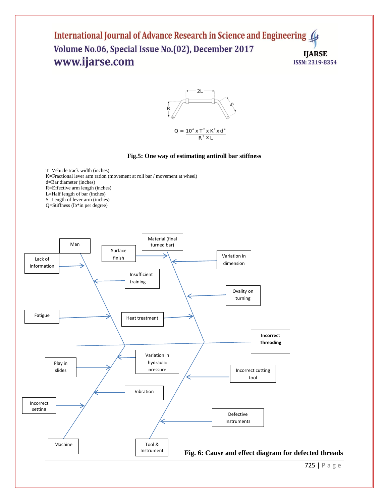

#### **Fig.5: One way of estimating antiroll bar stiffness**

T=Vehicle track width (inches) K=Fractional lever arm ration (movement at roll bar / movement at wheel) d=Bar diameter (inches) R=Effective arm length (inches) L=Half length of bar (inches) S=Length of lever arm (inches) Q=Stiffness (lb\*in per degree)

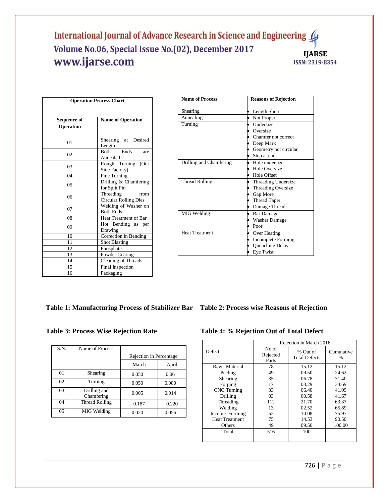| <b>Operation Process Chart</b> |                                                   |  |  |  |  |
|--------------------------------|---------------------------------------------------|--|--|--|--|
|                                |                                                   |  |  |  |  |
| Sequence of<br>Operation       | <b>Name of Operation</b>                          |  |  |  |  |
| 01                             | at Desired<br>Shearing<br>Length                  |  |  |  |  |
| 02                             | Ends<br><b>Both</b><br>are<br>Annealed            |  |  |  |  |
| 03                             | Rough Turning (Out<br>Side Factory)               |  |  |  |  |
| 04                             | Fine Turning                                      |  |  |  |  |
| 05                             | Drilling & Chamfering<br>for Split Pin            |  |  |  |  |
| 06                             | Threading<br>from<br><b>Circular Rolling Dies</b> |  |  |  |  |
| 07                             | Welding of Washer on<br><b>Both Ends</b>          |  |  |  |  |
| 08                             | Heat Treatment of Bar                             |  |  |  |  |
| 09                             | Hot Bending as per<br>Drawing                     |  |  |  |  |
| 10                             | Correction in Bending                             |  |  |  |  |
| 11                             | <b>Shot Blasting</b>                              |  |  |  |  |
| 12                             | Phosphate                                         |  |  |  |  |
| 13                             | Powder Coating                                    |  |  |  |  |
| 14                             | Cleaning of Threads                               |  |  |  |  |
| 15                             | Final Inspection                                  |  |  |  |  |
| 16<br>Packaging                |                                                   |  |  |  |  |

| <b>Name of Process</b>  | <b>Reasons of Rejection</b> |
|-------------------------|-----------------------------|
| Shearing                | Length Short                |
| Annealing               | Not Proper                  |
| Turning                 | <b>Undersize</b>            |
|                         | Oversize                    |
|                         | Chamfer not correct         |
|                         | Deep Mark                   |
|                         | Geometry not circular       |
|                         | Step at ends                |
| Drilling and Chamfering | Hole undersize              |
|                         | Hole Oversize               |
|                         | Hole Offset                 |
| <b>Thread Rolling</b>   | Threading Undersize         |
|                         | <b>Threading Oversize</b>   |
|                         | Gap More                    |
|                         | <b>Thread Taper</b>         |
|                         | Damage Thread               |
| MIG Welding             | <b>Bar Damage</b>           |
|                         | <b>Washer Damage</b>        |
|                         | Poor                        |
| <b>Heat Treatment</b>   | Over Heating                |
|                         | <b>Incomplete Forming</b>   |
|                         | Quenching Delay             |
|                         | Eye Twist                   |

### **Table 1: Manufacturing Process of Stabilizer Bar Table 2: Process wise Reasons of Rejection**

| S.N. | Name of Process            |                         |       |  |
|------|----------------------------|-------------------------|-------|--|
|      |                            | Rejection in Percentage |       |  |
|      |                            | March                   | April |  |
| 01   | Shearing                   | 0.050                   | 0.06  |  |
| 02   | Turning                    | 0.050                   | 0.080 |  |
| 03   | Drilling and<br>Chamfering | 0.005                   | 0.014 |  |
| 04   | Thread Rolling             | 0.187                   | 0.220 |  |
| 05   | MIG Welding                | 0.020                   | 0.056 |  |

### Table 3: Process Wise Rejection Rate Table 4: % Rejection Out of Total Defect

|                       | Rejection in March 2016    |                                  |                    |  |
|-----------------------|----------------------------|----------------------------------|--------------------|--|
| Defect                | No of<br>Rejected<br>Parts | % Out of<br><b>Total Defects</b> | Cumulative<br>$\%$ |  |
| Raw-Material          | 78                         | 15.12                            | 15.12              |  |
| Peeling               | 49                         | 09.50                            | 24.62              |  |
| Shearing              | 35                         | 06.78                            | 31.40              |  |
| Forging               | 17                         | 03.29                            | 34.69              |  |
| <b>CNC</b> Turning    | 33                         | 06.40                            | 41.09              |  |
| Drilling              | 03                         | 00.58                            | 41.67              |  |
| Threading             | 112<br>21.70               |                                  | 63.37              |  |
| Welding               | 13                         | 02.52                            | 65.89              |  |
| Income. Forming       | 52                         | 10.08                            | 75.97              |  |
| <b>Heat Treatment</b> | 75                         | 14.53                            | 90.50              |  |
| Others                | 49                         | 09.50                            | 100.00             |  |
| Total                 | 516                        | 100                              |                    |  |
|                       |                            |                                  |                    |  |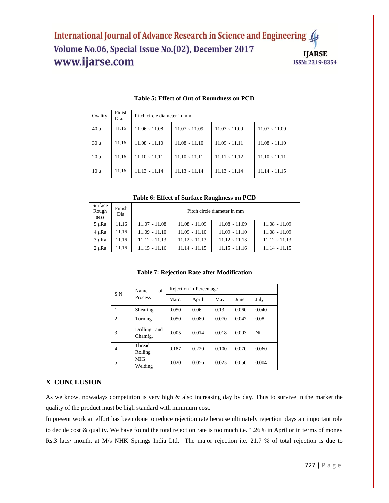| Ovality  | Finish<br>Dia. | Pitch circle diameter in mm |                    |                       |                    |  |
|----------|----------------|-----------------------------|--------------------|-----------------------|--------------------|--|
| $40 \mu$ | 11.16          | $11.06 \sim 11.08$          | $11.07 \sim 11.09$ | $11.07 \sim 11.09$    | $11.07 \sim 11.09$ |  |
| $30 \mu$ | 11.16          | $11.08 \sim 11.10$          | $11.08 \sim 11.10$ | $11.09 \sim 11.11$    | $11.08 \sim 11.10$ |  |
| $20 \mu$ | 11.16          | $11.10 \sim 11.11$          | $11.10 \sim 11.11$ | $11.11 \approx 11.12$ | $11.10 \sim 11.11$ |  |
| $10 \mu$ | 11.16          | $11.13 \approx 11.14$       | $11.13 \sim 11.14$ | $11.13 \sim 11.14$    | $11.14 \sim 11.15$ |  |

#### **Table 5: Effect of Out of Roundness on PCD**

**Table 6: Effect of Surface Roughness on PCD**

| Surface<br>Rough<br>ness | Finish<br>Dia. | Pitch circle diameter in mm |                       |                       |                       |  |  |
|--------------------------|----------------|-----------------------------|-----------------------|-----------------------|-----------------------|--|--|
| 5 µRa                    | 11.16          | $11.07 \sim 11.08$          | $11.08 \sim 11.09$    | $11.08 \sim 11.09$    | $11.08 \sim 11.09$    |  |  |
| 4 µRa                    | 11.16          | $11.09 \approx 11.10$       | $11.09 \sim 11.10$    | $11.09 \approx 11.10$ | $11.08 \sim 11.09$    |  |  |
| $3 \mu Ra$               | 11.16          | $11.12 \approx 11.13$       | $11.12 \approx 11.13$ | $11.12 \approx 11.13$ | $11.12 \approx 11.13$ |  |  |
| 2 µRa                    | 11.16          | $11.15 \approx 11.16$       | $11.14 \approx 11.15$ | $11.15 \sim 11.16$    | $11.14 \sim 11.15$    |  |  |

#### **Table 7: Rejection Rate after Modification**

| S.N            | of<br>Name<br>Process      | Rejection in Percentage |       |       |       |       |
|----------------|----------------------------|-------------------------|-------|-------|-------|-------|
|                |                            | Marc.                   | April | May   | June  | July  |
| 1              | Shearing                   | 0.050                   | 0.06  | 0.13  | 0.060 | 0.040 |
| $\overline{2}$ | Turning                    | 0.050                   | 0.080 | 0.070 | 0.047 | 0.08  |
| 3              | Drilling<br>and<br>Chamfg. | 0.005                   | 0.014 | 0.018 | 0.003 | Nil   |
| 4              | Thread<br>Rolling          | 0.187                   | 0.220 | 0.100 | 0.070 | 0.060 |
| 5              | <b>MIG</b><br>Welding      | 0.020                   | 0.056 | 0.023 | 0.050 | 0.004 |

#### **X CONCLUSION**

As we know, nowadays competition is very high & also increasing day by day. Thus to survive in the market the quality of the product must be high standard with minimum cost.

In present work an effort has been done to reduce rejection rate because ultimately rejection plays an important role to decide cost & quality. We have found the total rejection rate is too much i.e. 1.26% in April or in terms of money Rs.3 lacs/ month, at M/s NHK Springs India Ltd. The major rejection i.e. 21.7 % of total rejection is due to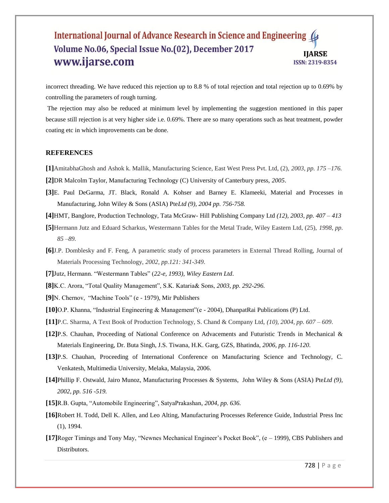incorrect threading. We have reduced this rejection up to 8.8 % of total rejection and total rejection up to 0.69% by controlling the parameters of rough turning.

The rejection may also be reduced at minimum level by implementing the suggestion mentioned in this paper because still rejection is at very higher side i.e. 0.69%. There are so many operations such as heat treatment, powder coating etc in which improvements can be done.

#### **REFERENCES**

**[1]**AmitabhaGhosh and Ashok k. Mallik, Manufacturing Science, East West Press Pvt. Ltd, (2), *2003, pp. 175 –176.*

**[2]**DR Malcolm Taylor, Manufacturing Technology (C) University of Canterbury press, *2005*.

- **[3]**E. Paul DeGarma, JT. Black, Ronald A. Kohser and Barney E. Klameeki, Material and Processes in Manufacturing, John Wiley & Sons (ASIA) Pte*Ltd (9), 2004 pp. 756-758.*
- **[4]**HMT, Banglore, Production Technology, Tata McGraw- Hill Publishing Company Ltd *(12), 2003, pp. 407 – 413*
- **[5]**Hermann Jutz and Eduard Scharkus, Westermann Tables for the Metal Trade, Wiley Eastern Ltd, (25), *1998, pp. 85 –89.*
- **[6]**J.P. Domblesky and F. Feng, A parametric study of process parameters in External Thread Rolling, Journal of Materials Processing Technology, *2002, pp.121: 341-349*.
- [7] Jutz, Hermann. "Westermann Tables" (22-e, 1993), Wiley Eastern Ltd.

[8]K.C. Arora, "Total Quality Management", S.K. Kataria& Sons, 2003, pp. 292-296.

**[9]**N. Chernov, "Machine Tools" (e - 1979), Mir Publishers

**[10]**O.P. Khanna, "Industrial Engineering & Management"(e - 2004), DhanpatRai Publications (P) Ltd.

- **[11]**P.C. Sharma, A Text Book of Production Technology, S. Chand & Company Ltd, *(10), 2004, pp. 607 – 609*.
- **[12]**P.S. Chauhan, Proceeding of National Conference on Advacements and Futuristic Trends in Mechanical & Materials Engineering, Dr. Buta Singh, J.S. Tiwana, H.K. Garg, GZS, Bhatinda, *2006, pp. 116-120.*
- **[13]**P.S. Chauhan, Proceeding of International Conference on Manufacturing Science and Technology, C. Venkatesh, Multimedia University, Melaka, Malaysia, 2006.
- **[14]**Phillip F. Ostwald, Jairo Munoz, Manufacturing Processes & Systems, John Wiley & Sons (ASIA) Pte*Ltd (9), 2002, pp. 516 -519.*
- [15]R.B. Gupta, "Automobile Engineering", SatyaPrakashan, 2004, pp. 636.
- **[16]**Robert H. Todd, Dell K. Allen, and Leo Alting, Manufacturing Processes Reference Guide, Industrial Press Inc (1), 1994.
- **[17]**Roger Timings and Tony May, "Newnes Mechanical Engineer's Pocket Book", (e 1999), CBS Publishers and Distributors.